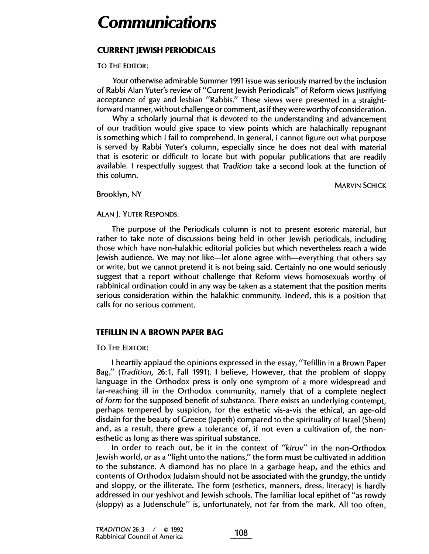# **Communications**

# CURRENT JEWISH PERIODICALS

## To THE EDITOR:

Your otherwise admirable Summer 1991 issue was seriously marred by the inclusion of Rabbi Alan Yuter's review of "Current Jewish Periodicals" of Reform views justifying acceptance of gay and lesbian "Rabbis." These views were presented in a straightforward manner, without challenge or comment, as if they were worthy of consideration.

Why a scholarly journal that is devoted to the understanding and advancement of our tradition would give space to view points which are halachically repugnant is something which I fail to comprehend. In general, I cannot figure out what purpose is served by Rabbi Yuter's column, especially since he does not deal with material that is esoteric or difficult to locate but with popular publications that are readily available. I respectfully suggest that Tradition take a second look at the function of this column.

MARVIN SCHICK

Brooklyn, NY

## ALAN J. YUTER RESPONDS:

The purpose of the Periodicals column is not to present esoteric material, but rather to take note of discussions being held in other Jewish periodicals, including those which have non-halakhic editorial policies but which nevertheless reach a wide Jewish audience. We may not like-let alone agree with-everything that others say or write, but we cannot pretend it is not being said. Certainly no one would seriously suggest that a report without challenge that Reform views homosexuals worthy of rabbinical ordination could in any way be taken as a statement that the position merits serious consideration within the halakhic community. Indeed, this is a position that calls for no serious comment.

## TEFILLIN IN A BROWN PAPER BAG

## To THE EDITOR:

I heartily applaud the opinions expressed in the essay, "Tefilin in a Brown Paper Bag," (Tradition, 26:1, Fall 1991). I believe, However, that the problem of sloppy language in the Orthodox press is only one symptom of a more widespread and far-reaching ill in the Orthodox community, namely that of a complete neglect of form for the supposed benefit of substance. There exists an underlying contempt, perhaps tempered by suspicion, for the esthetic vis-a-vis the ethical, an age-old disdain for the beauty of Greece (Japeth) compared to the spirituality of Israel (Shem) and, as a result, there grew a tolerance of, if not even a cultivation of, the nonesthetic as long as there was spiritual substance.

In order to reach out, be it in the context of "kiruv" in the non-Orthodox Jewish world, or as a "light unto the nations," the form must be cultivated in addition to the substance. A diamond has no place in a garbage heap, and the ethics and contents of Orthodox Judaism should not be associated with the grundgy, the untidy and sloppy, or the illiterate. The form (esthetics, manners, dress, literacy) is hardly addressed in our yeshivot and Jewish schools. The familiar local epithet of "as rowdy (sloppy) as a Judenschule" is, unfortunately, not far from the mark. All too often,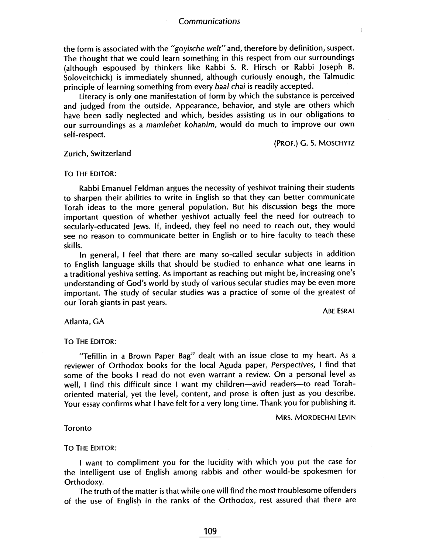## Communications

the form is associated with the "goyische welt" and, therefore by definition, suspect. The thought that we could learn something in this respect from our surroundings (although espoused by thinkers like Rabbi S. R. Hirsch or Rabbi Joseph B. Soloveitchick) is immediately shunned, although curiously enough, the Talmudic principle of learning something from every baal chai is readily accepted.

Literacy is only one manifestation of form by which the substance is perceived and judged from the outside. Appearance, behavior, and style are others which have been sadly neglected and which, besides assisting us in our obligations to our surroundings as a mam/ehet kohanim, would do much to improve our own self-respect.

(pROF.) G. S. MOSCHYTZ

#### Zurich, Switzerland

#### TO THE EDITOR:

Rabbi Emanuel Feldman argues the necessity of yeshivot training their students to sharpen their abilities to write in English so that they can better communicate Torah ideas to the more general population. But his discussion begs the more important question of whether yeshivot actually feel the need for outreach to secularly-educated Jews. If, indeed, they feel no need to reach out, they would see no reason to communicate better in English or to hire faculty to teach these skills.

In general, I feel that there are many so-called secular subjects in addition to English language skills that should be studied to enhance what one learns in a traditional yeshiva setting. As important as reaching out might be, increasing one's understanding of God's world by study of various secular studies may be even more important. The study of secular studies was a practice of some of the greatest of our Torah giants in past years.

ABE ESRAL

## Atlanta, GA

#### To THE EDITOR:

"Tefillin in a Brown Paper Bag" dealt with an issue close to my heart. As a reviewer of Orthodox books for the local Aguda paper, Perspectives, I find that some of the books I read do not even warrant a review. On a personal level as well, I find this difficult since I want my children-avid readers-to read Torahoriented material, yet the level, content, and prose is often just as you describe. Your essay confirms what I have felt for a very long time. Thank you for publishing it.

MRS. MORDECHAI LEVIN

#### Toronto

#### TO THE EDITOR:

I want to compliment you for the lucidity with which you put the case for the intelligent use of English among rabbis and other would-be spokesmen for Orthodoxy.

The truth of the matter is that while one will find the most troublesome offenders of the use of English in the ranks of the Orthodox, rest assured that there are